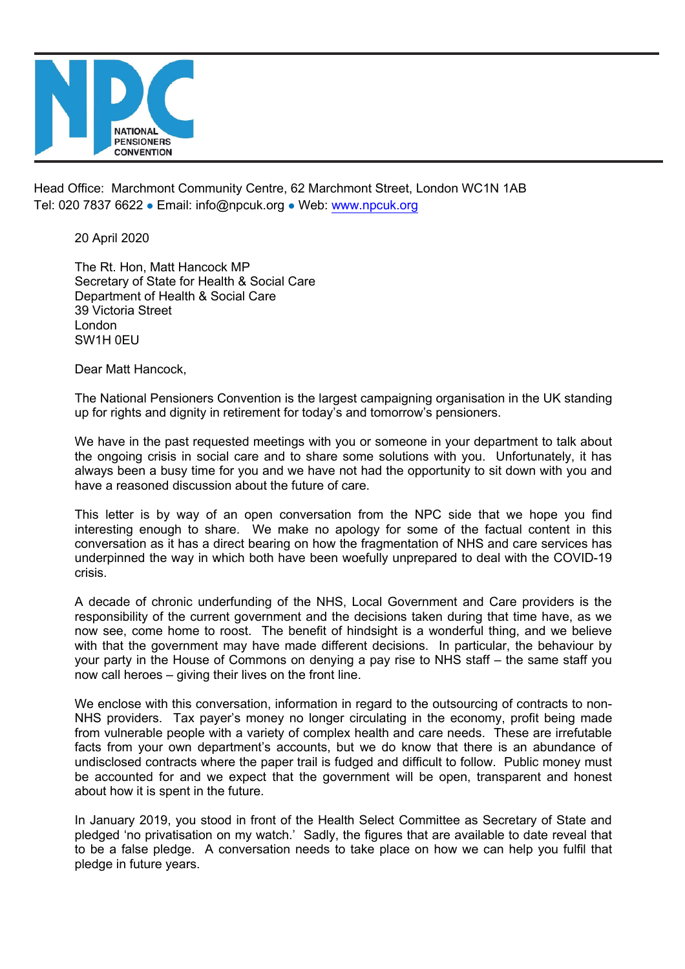

Head Office: Marchmont Community Centre, 62 Marchmont Street, London WC1N 1AB Tel: 020 7837 6622 · Email: info@npcuk.org · Web: www.npcuk.org

20 April 2020

The Rt. Hon, Matt Hancock MP Secretary of State for Health & Social Care Department of Health & Social Care 39 Victoria Street London SW1H 0EU

Dear Matt Hancock,

The National Pensioners Convention is the largest campaigning organisation in the UK standing up for rights and dignity in retirement for today's and tomorrow's pensioners.

We have in the past requested meetings with you or someone in your department to talk about the ongoing crisis in social care and to share some solutions with you. Unfortunately, it has always been a busy time for you and we have not had the opportunity to sit down with you and have a reasoned discussion about the future of care.

This letter is by way of an open conversation from the NPC side that we hope you find interesting enough to share. We make no apology for some of the factual content in this conversation as it has a direct bearing on how the fragmentation of NHS and care services has underpinned the way in which both have been woefully unprepared to deal with the COVID-19 crisis.

A decade of chronic underfunding of the NHS, Local Government and Care providers is the responsibility of the current government and the decisions taken during that time have, as we now see, come home to roost. The benefit of hindsight is a wonderful thing, and we believe with that the government may have made different decisions. In particular, the behaviour by your party in the House of Commons on denying a pay rise to NHS staff – the same staff you now call heroes – giving their lives on the front line.

We enclose with this conversation, information in regard to the outsourcing of contracts to non-NHS providers. Tax payer's money no longer circulating in the economy, profit being made from vulnerable people with a variety of complex health and care needs. These are irrefutable facts from your own department's accounts, but we do know that there is an abundance of undisclosed contracts where the paper trail is fudged and difficult to follow. Public money must be accounted for and we expect that the government will be open, transparent and honest about how it is spent in the future.

In January 2019, you stood in front of the Health Select Committee as Secretary of State and pledged 'no privatisation on my watch.' Sadly, the figures that are available to date reveal that to be a false pledge. A conversation needs to take place on how we can help you fulfil that pledge in future years.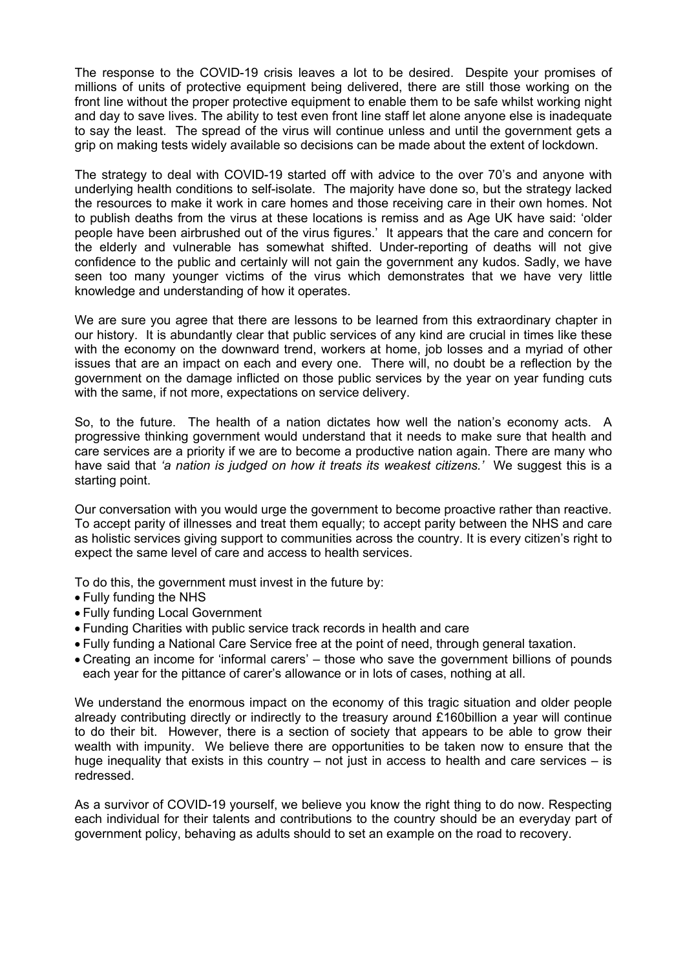The response to the COVID-19 crisis leaves a lot to be desired. Despite your promises of millions of units of protective equipment being delivered, there are still those working on the front line without the proper protective equipment to enable them to be safe whilst working night and day to save lives. The ability to test even front line staff let alone anyone else is inadequate to say the least. The spread of the virus will continue unless and until the government gets a grip on making tests widely available so decisions can be made about the extent of lockdown.

The strategy to deal with COVID-19 started off with advice to the over 70's and anyone with underlying health conditions to self-isolate. The majority have done so, but the strategy lacked the resources to make it work in care homes and those receiving care in their own homes. Not to publish deaths from the virus at these locations is remiss and as Age UK have said: 'older people have been airbrushed out of the virus figures.' It appears that the care and concern for the elderly and vulnerable has somewhat shifted. Under-reporting of deaths will not give confidence to the public and certainly will not gain the government any kudos. Sadly, we have seen too many younger victims of the virus which demonstrates that we have very little knowledge and understanding of how it operates.

We are sure you agree that there are lessons to be learned from this extraordinary chapter in our history. It is abundantly clear that public services of any kind are crucial in times like these with the economy on the downward trend, workers at home, job losses and a myriad of other issues that are an impact on each and every one. There will, no doubt be a reflection by the government on the damage inflicted on those public services by the year on year funding cuts with the same, if not more, expectations on service delivery.

So, to the future. The health of a nation dictates how well the nation's economy acts. A progressive thinking government would understand that it needs to make sure that health and care services are a priority if we are to become a productive nation again. There are many who have said that *'a nation is judged on how it treats its weakest citizens.'* We suggest this is a starting point.

Our conversation with you would urge the government to become proactive rather than reactive. To accept parity of illnesses and treat them equally; to accept parity between the NHS and care as holistic services giving support to communities across the country. It is every citizen's right to expect the same level of care and access to health services.

To do this, the government must invest in the future by:

- Fully funding the NHS
- Fully funding Local Government
- Funding Charities with public service track records in health and care
- Fully funding a National Care Service free at the point of need, through general taxation.
- Creating an income for 'informal carers' those who save the government billions of pounds each year for the pittance of carer's allowance or in lots of cases, nothing at all.

We understand the enormous impact on the economy of this tragic situation and older people already contributing directly or indirectly to the treasury around £160billion a year will continue to do their bit. However, there is a section of society that appears to be able to grow their wealth with impunity. We believe there are opportunities to be taken now to ensure that the huge inequality that exists in this country – not just in access to health and care services – is redressed.

As a survivor of COVID-19 yourself, we believe you know the right thing to do now. Respecting each individual for their talents and contributions to the country should be an everyday part of government policy, behaving as adults should to set an example on the road to recovery.